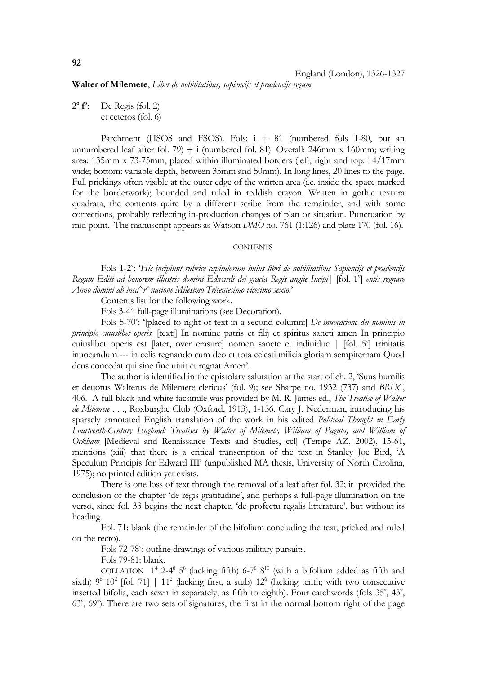**Walter of Milemete**, *Liber de nobilitatibus, sapiencijs et prudencijs regum*

**2o fo** De Regis (fol. 2) et ceteros (fol. 6)

Parchment (HSOS and FSOS). Fols:  $i + 81$  (numbered fols 1-80, but an unnumbered leaf after fol. 79) + i (numbered fol. 81). Overall: 246mm x 160mm; writing area: 135mm x 73-75mm, placed within illuminated borders (left, right and top: 14/17mm wide; bottom: variable depth, between 35mm and 50mm). In long lines, 20 lines to the page. Full prickings often visible at the outer edge of the written area (i.e. inside the space marked for the borderwork); bounded and ruled in reddish crayon. Written in gothic textura quadrata, the contents quire by a different scribe from the remainder, and with some corrections, probably reflecting in-production changes of plan or situation. Punctuation by mid point. The manuscript appears as Watson *DMO* no. 761 (1:126) and plate 170 (fol. 16).

## **CONTENTS**

Fols 1-2<sup>v</sup>: 'Hic incipiunt rubrice capitulorum huius libri de nobilitatibus Sapiencijs et prudencijs Regum Editi ad honorem illustris domini Edwardi dei gracia Regis anglie Incipi| [fol. 1<sup>v</sup>] entis regnare *Anno domini ab inca*^*r*^*nacione Milesimo Tricentesimo vicesimo sexto*.'

Contents list for the following work.

Fols 3-4": full-page illuminations (see Decoration).

Fols 5-70<sup>v</sup>: '[placed to right of text in a second column:] *De inuocacione dei nominis in principio cuiuslibet operis.* [text:] In nomine patris et filij et spiritus sancti amen In principio cuiuslibet operis est [later, over erasure] nomen sancte et indiuidue | [fol. 5<sup>v</sup>] trinitatis inuocandum --- in celis regnando cum deo et tota celesti milicia gloriam sempiternam Quod deus concedat qui sine fine uiuit et regnat Amen'.

 The author is identified in the epistolary salutation at the start of ch. 2, 'Suus humilis et deuotus Walterus de Milemete clericus' (fol. 9); see Sharpe no. 1932 (737) and *BRUC*, 406. A full black-and-white facsimile was provided by M. R. James ed., *The Treatise of Walter de Milemete . . .*, Roxburghe Club (Oxford, 1913), 1-156. Cary J. Nederman, introducing his sparsely annotated English translation of the work in his edited *Political Thought in Early Fourteenth-Century England: Treatises by Walter of Milemete, William of Pagula, and William of Ockham* [Medieval and Renaissance Texts and Studies, ccl] (Tempe AZ, 2002), 15-61, mentions (xiii) that there is a critical transcription of the text in Stanley Joe Bird, 'A Speculum Principis for Edward III' (unpublished MA thesis, University of North Carolina, 1975); no printed edition yet exists.

 There is one loss of text through the removal of a leaf after fol. 32; it provided the conclusion of the chapter 'de regis gratitudine', and perhaps a full-page illumination on the verso, since fol. 33 begins the next chapter, 'de profectu regalis litterature', but without its heading.

 Fol. 71: blank (the remainder of the bifolium concluding the text, pricked and ruled on the recto).

Fols 72-78": outline drawings of various military pursuits.

Fols 79-81: blank.

COLLATION  $1^4$  2-4<sup>8</sup> 5<sup>8</sup> (lacking fifth) 6-7<sup>8</sup> 8<sup>10</sup> (with a bifolium added as fifth and sixth)  $9^6$  10<sup>2</sup> [fol. 71] | 11<sup>2</sup> (lacking first, a stub) 12<sup>6</sup> (lacking tenth; with two consecutive inserted bifolia, each sewn in separately, as fifth to eighth). Four catchwords (fols  $35^{\circ}$ ,  $43^{\circ}$ , 63<sup>v</sup>, 69<sup>v</sup>). There are two sets of signatures, the first in the normal bottom right of the page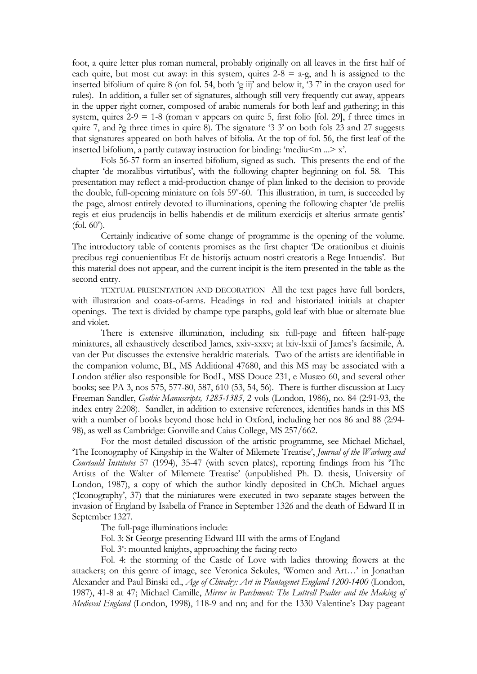foot, a quire letter plus roman numeral, probably originally on all leaves in the first half of each quire, but most cut away: in this system, quires  $2-8 = a-g$ , and h is assigned to the inserted bifolium of quire 8 (on fol. 54, both 'g iij' and below it, '3 7' in the crayon used for rules). In addition, a fuller set of signatures, although still very frequently cut away, appears in the upper right corner, composed of arabic numerals for both leaf and gathering; in this system, quires  $2-9 = 1-8$  (roman v appears on quire 5, first folio [fol. 29], f three times in quire 7, and ?g three times in quire 8). The signature '3 3' on both fols 23 and 27 suggests that signatures appeared on both halves of bifolia. At the top of fol. 56, the first leaf of the inserted bifolium, a partly cutaway instruction for binding: 'mediu $\leq m \leq x$ '.

 Fols 56-57 form an inserted bifolium, signed as such. This presents the end of the chapter 'de moralibus virtutibus', with the following chapter beginning on fol. 58. This presentation may reflect a mid-production change of plan linked to the decision to provide the double, full-opening miniature on fols 59<sup>v</sup>-60. This illustration, in turn, is succeeded by the page, almost entirely devoted to illuminations, opening the following chapter 'de preliis regis et eius prudencijs in bellis habendis et de militum exercicijs et alterius armate gentis'  $(fol. 60^{\circ}).$ 

 Certainly indicative of some change of programme is the opening of the volume. The introductory table of contents promises as the first chapter 'De orationibus et diuinis precibus regi conuenientibus Et de historijs actuum nostri creatoris a Rege Intuendis'. But this material does not appear, and the current incipit is the item presented in the table as the second entry.

TEXTUAL PRESENTATION AND DECORATION All the text pages have full borders, with illustration and coats-of-arms. Headings in red and historiated initials at chapter openings. The text is divided by champe type paraphs, gold leaf with blue or alternate blue and violet.

 There is extensive illumination, including six full-page and fifteen half-page miniatures, all exhaustively described James, xxiv-xxxv; at lxiv-lxxii of James's facsimile, A. van der Put discusses the extensive heraldric materials. Two of the artists are identifiable in the companion volume, BL, MS Additional 47680, and this MS may be associated with a London atélier also responsible for BodL, MSS Douce 231, e Musæo 60, and several other books; see PA 3, nos 575, 577-80, 587, 610 (53, 54, 56). There is further discussion at Lucy Freeman Sandler, *Gothic Manuscripts, 1285-1385*, 2 vols (London, 1986), no. 84 (2:91-93, the index entry 2:208). Sandler, in addition to extensive references, identifies hands in this MS with a number of books beyond those held in Oxford, including her nos 86 and 88 (2:94- 98), as well as Cambridge: Gonville and Caius College, MS 257/662.

 For the most detailed discussion of the artistic programme, see Michael Michael, 'The Iconography of Kingship in the Walter of Milemete Treatise', *Journal of the Warburg and Courtauld Institutes* 57 (1994), 35-47 (with seven plates), reporting findings from his 'The Artists of the Walter of Milemete Treatise' (unpublished Ph. D. thesis, University of London, 1987), a copy of which the author kindly deposited in ChCh. Michael argues ('Iconography', 37) that the miniatures were executed in two separate stages between the invasion of England by Isabella of France in September 1326 and the death of Edward II in September 1327.

The full-page illuminations include:

Fol. 3: St George presenting Edward III with the arms of England

Fol. 3<sup>v</sup>: mounted knights, approaching the facing recto

 Fol. 4: the storming of the Castle of Love with ladies throwing flowers at the attackers; on this genre of image, see Veronica Sekules, 'Women and Art…' in Jonathan Alexander and Paul Binski ed., *Age of Chivalry: Art in Plantagenet England 1200-1400* (London, 1987), 41-8 at 47; Michael Camille, *Mirror in Parchment: The Luttrell Psalter and the Making of Medieval England* (London, 1998), 118-9 and nn; and for the 1330 Valentine's Day pageant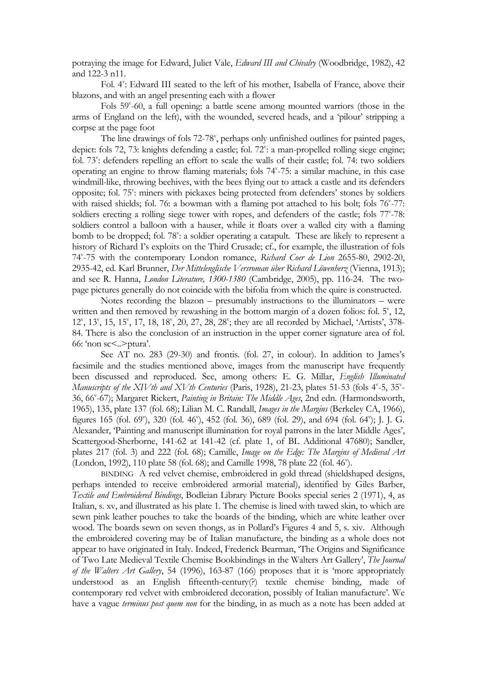potraying the image for Edward, Juliet Vale, *Edward III and Chivalry* (Woodbridge, 1982), 42 and 122-3 n11.

Fol. 4": Edward III seated to the left of his mother, Isabella of France, above their blazons, and with an angel presenting each with a flower

Fols 59<sup>v</sup>-60, a full opening: a battle scene among mounted warriors (those in the arms of England on the left), with the wounded, severed heads, and a 'pilour' stripping a corpse at the page foot

The line drawings of fols 72-78<sup>v</sup>, perhaps only unfinished outlines for painted pages, depict: fols 72, 73: knights defending a castle; fol. 72<sup>v</sup>: a man-propelled rolling siege engine; fol. 73": defenders repelling an effort to scale the walls of their castle; fol. 74: two soldiers operating an engine to throw flaming materials; fols 74v -75: a similar machine, in this case windmill-like, throwing beehives, with the bees flying out to attack a castle and its defenders opposite; fol. 75": miners with pickaxes being protected from defenders' stones by soldiers with raised shields; fol. 76: a bowman with a flaming pot attached to his bolt; fols 76°-77: soldiers erecting a rolling siege tower with ropes, and defenders of the castle; fols 77°-78: soldiers control a balloon with a hauser, while it floats over a walled city with a flaming bomb to be dropped; fol. 78': a soldier operating a catapult. These are likely to represent a history of Richard I's exploits on the Third Crusade; cf., for example, the illustration of fols 74v -75 with the contemporary London romance, *Richard Coer de Lion* 2655-80, 2902-20, 2935-42, ed. Karl Brunner, *Der Mittelenglische Versroman über Richard Löwenherz* (Vienna, 1913); and see R. Hanna, *London Literature, 1300-1380* (Cambridge, 2005), pp. 116-24. The twopage pictures generally do not coincide with the bifolia from which the quire is constructed.

 Notes recording the blazon – presumably instructions to the illuminators – were written and then removed by rewashing in the bottom margin of a dozen folios: fol. 5<sup>v</sup>, 12, 12<sup>v</sup>, 13<sup>v</sup>, 15, 15<sup>v</sup>, 17, 18, 18<sup>v</sup>, 20, 27, 28, 28<sup>v</sup>; they are all recorded by Michael, 'Artists', 378-84. There is also the conclusion of an instruction in the upper corner signature area of fol. 66: 'non sc<..>ptura'.

 See AT no. 283 (29-30) and frontis. (fol. 27, in colour). In addition to James's facsimile and the studies mentioned above, images from the manuscript have frequently been discussed and reproduced. See, among others: E. G. Millar, *English Illuminated*  Manuscripts of the XIV th and XV th Centuries (Paris, 1928), 21-23, plates 51-53 (fols 4<sup>v</sup>-5, 35<sup>v</sup>-36, 66<sup>v</sup>-67); Margaret Rickert, *Painting in Britain: The Middle Ages*, 2nd edn. (Harmondsworth, 1965), 135, plate 137 (fol. 68); Lilian M. C. Randall, *Images in the Margins* (Berkeley CA, 1966), figures 165 (fol. 69"), 320 (fol. 46"), 452 (fol. 36), 689 (fol. 29), and 694 (fol. 64"); J. J. G. Alexander, 'Painting and manuscript illumination for royal patrons in the later Middle Ages', Scattergood-Sherborne, 141-62 at 141-42 (cf. plate 1, of BL Additional 47680); Sandler, plates 217 (fol. 3) and 222 (fol. 68); Camille, *Image on the Edge: The Margins of Medieval Art* (London, 1992), 110 plate 58 (fol. 68); and Camille 1998, 78 plate 22 (fol. 46<sup>v</sup>).

BINDING A red velvet chemise, embroidered in gold thread (shieldshaped designs, perhaps intended to receive embroidered armorial material), identified by Giles Barber, *Textile and Embroidered Bindings*, Bodleian Library Picture Books special series 2 (1971), 4, as Italian, s. xv, and illustrated as his plate 1. The chemise is lined with tawed skin, to which are sewn pink leather pouches to take the boards of the binding, which are white leather over wood. The boards sewn on seven thongs, as in Pollard's Figures 4 and 5, s. xiv. Although the embroidered covering may be of Italian manufacture, the binding as a whole does not appear to have originated in Italy. Indeed, Frederick Bearman, 'The Origins and Significance of Two Late Medieval Textile Chemise Bookbindings in the Walters Art Gallery', *The Journal of the Walters Art Gallery*, 54 (1996), 163-87 (166) proposes that it is 'more appropriately understood as an English fifteenth-century(?) textile chemise binding, made of contemporary red velvet with embroidered decoration, possibly of Italian manufacture'. We have a vague *terminus post quem non* for the binding, in as much as a note has been added at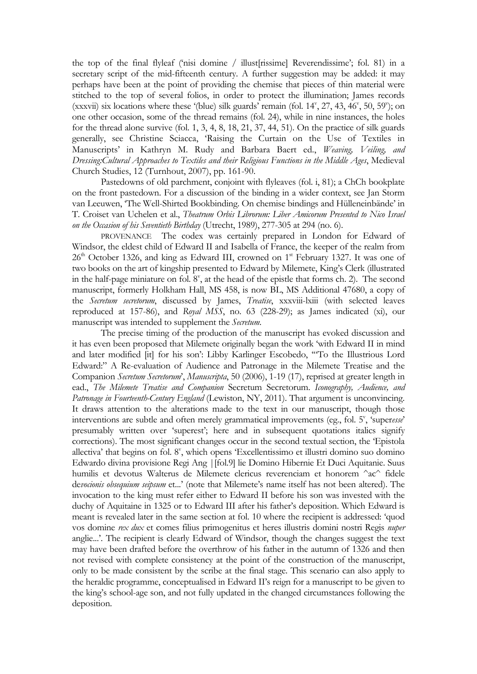the top of the final flyleaf ('nisi domine / illust[rissime] Reverendissime'; fol. 81) in a secretary script of the mid-fifteenth century. A further suggestion may be added: it may perhaps have been at the point of providing the chemise that pieces of thin material were stitched to the top of several folios, in order to protect the illumination; James records  $(xxxvii)$  six locations where these '(blue) silk guards' remain (fol.  $14^v$ ,  $27$ ,  $43$ ,  $46^v$ ,  $50$ ,  $59^v$ ); on one other occasion, some of the thread remains (fol. 24), while in nine instances, the holes for the thread alone survive (fol. 1, 3, 4, 8, 18, 21, 37, 44, 51). On the practice of silk guards generally, see Christine Sciacca, 'Raising the Curtain on the Use of Textiles in Manuscripts' in Kathryn M. Rudy and Barbara Baert ed., *Weaving, Veiling, and Dressing:Cultural Approaches to Textiles and their Religious Functions in the Middle Ages*, Medieval Church Studies, 12 (Turnhout, 2007), pp. 161-90.

 Pastedowns of old parchment, conjoint with flyleaves (fol. i, 81); a ChCh bookplate on the front pastedown. For a discussion of the binding in a wider context, see Jan Storm van Leeuwen, 'The Well-Shirted Bookbinding. On chemise bindings and Hülleneinbände' in T. Croiset van Uchelen et al., *Theatrum Orbis Librorum: Liber Amicorum Presented to Nico Israel on the Occasion of his Seventieth Birthday* (Utrecht, 1989), 277-305 at 294 (no. 6).

PROVENANCE The codex was certainly prepared in London for Edward of Windsor, the eldest child of Edward II and Isabella of France, the keeper of the realm from  $26<sup>th</sup>$  October 1326, and king as Edward III, crowned on 1<sup>st</sup> February 1327. It was one of two books on the art of kingship presented to Edward by Milemete, King's Clerk (illustrated in the half-page miniature on fol.  $8^v$ , at the head of the epistle that forms ch. 2). The second manuscript, formerly Holkham Hall, MS 458, is now BL, MS Additional 47680, a copy of the *Secretum secretorum*, discussed by James, *Treatise*, xxxviii-lxiii (with selected leaves reproduced at 157-86), and *Royal MSS*, no. 63 (228-29); as James indicated (xi), our manuscript was intended to supplement the *Secretum*.

 The precise timing of the production of the manuscript has evoked discussion and it has even been proposed that Milemete originally began the work 'with Edward II in mind and later modified [it] for his son': Libby Karlinger Escobedo, '"To the Illustrious Lord Edward:" A Re-evaluation of Audience and Patronage in the Milemete Treatise and the Companion *Secretum Secretorum*', *Manuscripta*, 50 (2006), 1-19 (17), reprised at greater length in ead., *The Milemete Treatise and Companion* Secretum Secretorum. *Iconography, Audience, and Patronage in Fourteenth-Century England* (Lewiston, NY, 2011). That argument is unconvincing. It draws attention to the alterations made to the text in our manuscript, though those interventions are subtle and often merely grammatical improvements (eg., fol. 5<sup>v</sup>, 'superesse' presumably written over 'superest'; here and in subsequent quotations italics signify corrections). The most significant changes occur in the second textual section, the 'Epistola allectiva' that begins on fol. 8", which opens 'Excellentissimo et illustri domino suo domino Edwardo divina provisione Regi Ang |[fol.9] lie Domino Hibernie Et Duci Aquitanie. Suus humilis et devotus Walterus de Milemete clericus reverenciam et honorem ^ac^ fidele de*vocionis obsequium seipsum* et...' (note that Milemete's name itself has not been altered). The invocation to the king must refer either to Edward II before his son was invested with the duchy of Aquitaine in 1325 or to Edward III after his father's deposition. Which Edward is meant is revealed later in the same section at fol. 10 where the recipient is addressed: 'quod vos domine *rex dux* et comes filius primogenitus et heres illustris domini nostri Regis *nuper*  anglie...'. The recipient is clearly Edward of Windsor, though the changes suggest the text may have been drafted before the overthrow of his father in the autumn of 1326 and then not revised with complete consistency at the point of the construction of the manuscript, only to be made consistent by the scribe at the final stage. This scenario can also apply to the heraldic programme, conceptualised in Edward II's reign for a manuscript to be given to the king's school-age son, and not fully updated in the changed circumstances following the deposition.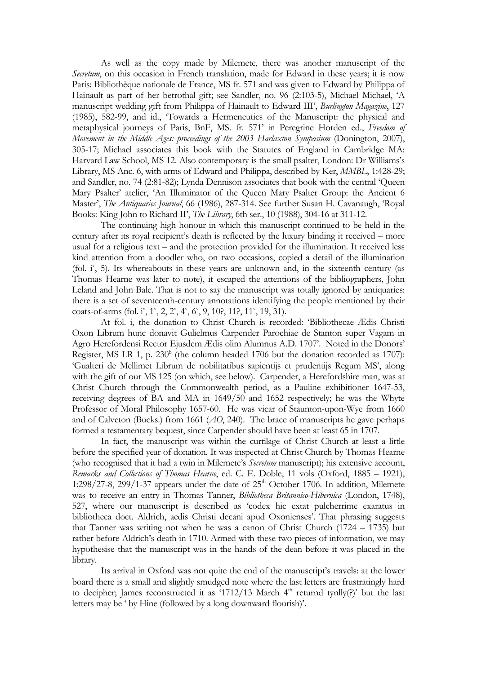As well as the copy made by Milemete, there was another manuscript of the *Secretum*, on this occasion in French translation, made for Edward in these years; it is now Paris: Bibliothèque nationale de France, MS fr. 571 and was given to Edward by Philippa of Hainault as part of her betrothal gift; see Sandler, no. 96 (2:103-5), Michael Michael, 'A manuscript wedding gift from Philippa of Hainault to Edward III', *Burlington Magazine*, 127 (1985), 582-99, and id., 'Towards a Hermeneutics of the Manuscript: the physical and metaphysical journeys of Paris, BnF, MS. fr. 571' in Peregrine Horden ed., *Freedom of Movement in the Middle Ages: proceedings of the 2003 Harlaxton Symposium (Donington, 2007),* 305-17; Michael associates this book with the Statutes of England in Cambridge MA: Harvard Law School, MS 12. Also contemporary is the small psalter, London: Dr Williams's Library, MS Anc. 6, with arms of Edward and Philippa, described by Ker, *MMBL*, 1:428-29; and Sandler, no. 74 (2:81-82); Lynda Dennison associates that book with the central 'Queen Mary Psalter' atelier, 'An Illuminator of the Queen Mary Psalter Group: the Ancient 6 Master', *The Antiquaries Journal*, 66 (1986), 287-314. See further Susan H. Cavanaugh, 'Royal Books: King John to Richard II', *The Library*, 6th ser., 10 (1988), 304-16 at 311-12.

 The continuing high honour in which this manuscript continued to be held in the century after its royal recipient's death is reflected by the luxury binding it received – more usual for a religious text – and the protection provided for the illumination. It received less kind attention from a doodler who, on two occasions, copied a detail of the illumination (fol.  $i<sup>v</sup>$ , 5). Its whereabouts in these years are unknown and, in the sixteenth century (as Thomas Hearne was later to note), it escaped the attentions of the bibliographers, John Leland and John Bale. That is not to say the manuscript was totally ignored by antiquaries: there is a set of seventeenth-century annotations identifying the people mentioned by their coats-of-arms (fol. i<sup>v</sup>, 1<sup>v</sup>, 2, 2<sup>v</sup>, 4<sup>v</sup>, 6<sup>v</sup>, 9, 10?, 11?, 11<sup>v</sup>, 19, 31).

 At fol. i, the donation to Christ Church is recorded: 'Bibliothecae Ædis Christi Oxon Librum hunc donavit Gulielmus Carpender Parochiae de Stanton super Vagam in Agro Herefordensi Rector Ejusdem Ædis olim Alumnus A.D. 1707'. Noted in the Donors' Register, MS LR 1, p.  $230<sup>b</sup>$  (the column headed 1706 but the donation recorded as 1707): 'Gualteri de Mellimet Librum de nobilitatibus sapientijs et prudentijs Regum MS', along with the gift of our MS 125 (on which, see below). Carpender, a Herefordshire man, was at Christ Church through the Commonwealth period, as a Pauline exhibitioner 1647-53, receiving degrees of BA and MA in 1649/50 and 1652 respectively; he was the Whyte Professor of Moral Philosophy 1657-60. He was vicar of Staunton-upon-Wye from 1660 and of Calveton (Bucks.) from 1661 (*AO*, 240). The brace of manuscripts he gave perhaps formed a testamentary bequest, since Carpender should have been at least 65 in 1707.

 In fact, the manuscript was within the curtilage of Christ Church at least a little before the specified year of donation. It was inspected at Christ Church by Thomas Hearne (who recognised that it had a twin in Milemete's *Secretum* manuscript); his extensive account, *Remarks and Collections of Thomas Hearne*, ed. C. E. Doble, 11 vols (Oxford, 1885 – 1921), 1:298/27-8, 299/1-37 appears under the date of  $25<sup>th</sup>$  October 1706. In addition, Milemete was to receive an entry in Thomas Tanner, *Bibliotheca Britannico-Hibernica* (London, 1748), 527, where our manuscript is described as 'codex hic extat pulcherrime exaratus in bibliotheca doct. Aldrich, aedis Christi decani apud Oxonienses'. That phrasing suggests that Tanner was writing not when he was a canon of Christ Church (1724 – 1735) but rather before Aldrich's death in 1710. Armed with these two pieces of information, we may hypothesise that the manuscript was in the hands of the dean before it was placed in the library.

 Its arrival in Oxford was not quite the end of the manuscript's travels: at the lower board there is a small and slightly smudged note where the last letters are frustratingly hard to decipher; James reconstructed it as '1712/13 March  $4<sup>th</sup>$  returnd tynlly(?)' but the last letters may be ' by Hine (followed by a long downward flourish)'.